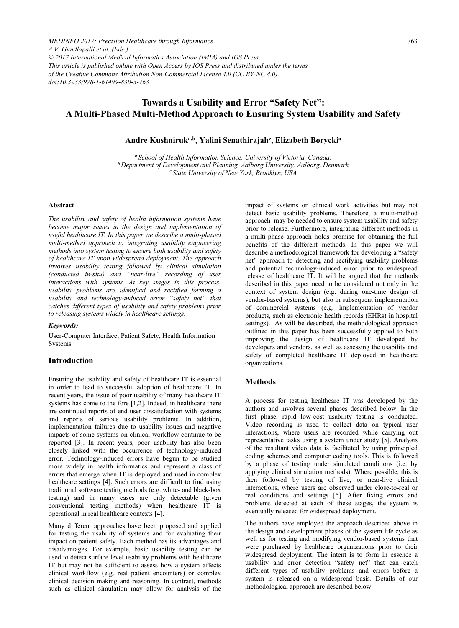*MEDINFO 2017: Precision Healthcare through Informatics A.V. Gundlapalli et al. (Eds.) © 2017 International Medical Informatics Association (IMIA) and IOS Press. This article is published online with Open Access by IOS Press and distributed under the terms of the Creative Commons Attribution Non-Commercial License 4.0 (CC BY-NC 4.0). doi:10.3233/978-1-61499-830-3-763*

# Towards a Usability and Error "Safety Net": A Multi-Phased Multi-Method Approach to Ensuring System Usability and Safety

## Andre Kushniruk<sup>a,b</sup>, Yalini Senathirajah<sup>c</sup>, Elizabeth Borycki<sup>a</sup>

<sup>a</sup> School of Health Information Science, University of Victoria, Canada,<br>b Department of Development and Planning, Aalborg University, Aalborg, Denmark<br><sup>c</sup> State University of New York, Brooklyn, USA

#### Abstract

The usability and safety of health information systems have become major issues in the design and implementation of useful healthcare IT. In this paper we describe a multi-phased multi-method approach to integrating usability engineering methods into system testing to ensure both usability and safety of healthcare IT upon widespread deployment. The approach involves usability testing followed by clinical simulation (conducted in-situ) and "near-live" recording of user interactions with systems. At key stages in this process, usability problems are identified and rectified forming a usability and technology-induced error "safety net" that catches different types of usability and safety problems prior to releasing systems widely in healthcare settings.

#### Keywords:

User-Computer Interface; Patient Safety, Health Information Systems

## Introduction

Ensuring the usability and safety of healthcare IT is essential in order to lead to successful adoption of healthcare IT. In recent years, the issue of poor usability of many healthcare IT systems has come to the fore [1,2]. Indeed, in healthcare there are continued reports of end user dissatisfaction with systems and reports of serious usability problems. In addition, implementation failures due to usability issues and negative impacts of some systems on clinical workflow continue to be reported [3]. In recent years, poor usability has also been closely linked with the occurrence of technology-induced error. Technology-induced errors have begun to be studied more widely in health informatics and represent a class of errors that emerge when IT is deployed and used in complex healthcare settings [4]. Such errors are difficult to find using traditional software testing methods (e.g. white- and black-box testing) and in many cases are only detectable (given conventional testing methods) when healthcare IT is operational in real healthcare contexts [4].

Many different approaches have been proposed and applied for testing the usability of systems and for evaluating their impact on patient safety. Each method has its advantages and disadvantages. For example, basic usability testing can be used to detect surface level usability problems with healthcare IT but may not be sufficient to assess how a system affects clinical workflow (e.g. real patient encounters) or complex clinical decision making and reasoning. In contrast, methods such as clinical simulation may allow for analysis of the

impact of systems on clinical work activities but may not detect basic usability problems. Therefore, a multi-method approach may be needed to ensure system usability and safety prior to release. Furthermore, integrating different methods in a multi-phase approach holds promise for obtaining the full benefits of the different methods. In this paper we will describe a methodological framework for developing a "safety net" approach to detecting and rectifying usability problems and potential technology-induced error prior to widespread release of healthcare IT. It will be argued that the methods described in this paper need to be considered not only in the context of system design (e.g. during one-time design of vendor-based systems), but also in subsequent implementation of commercial systems (e.g. implementation of vendor products, such as electronic health records (EHRs) in hospital settings). As will be described, the methodological approach outlined in this paper has been successfully applied to both improving the design of healthcare IT developed by developers and vendors, as well as assessing the usability and safety of completed healthcare IT deployed in healthcare organizations.

## Methods

A process for testing healthcare IT was developed by the authors and involves several phases described below. In the first phase, rapid low-cost usability testing is conducted. Video recording is used to collect data on typical user interactions, where users are recorded while carrying out representative tasks using a system under study [5]. Analysis of the resultant video data is facilitated by using principled coding schemes and computer coding tools. This is followed by a phase of testing under simulated conditions (i.e. by applying clinical simulation methods). Where possible, this is then followed by testing of live, or near-live clinical interactions, where users are observed under close-to-real or real conditions and settings [6]. After fixing errors and problems detected at each of these stages, the system is eventually released for widespread deployment.

The authors have employed the approach described above in the design and development phases of the system life cycle as well as for testing and modifying vendor-based systems that were purchased by healthcare organizations prior to their widespread deployment. The intent is to form in essence a usability and error detection "safety net" that can catch different types of usability problems and errors before a system is released on a widespread basis. Details of our methodological approach are described below.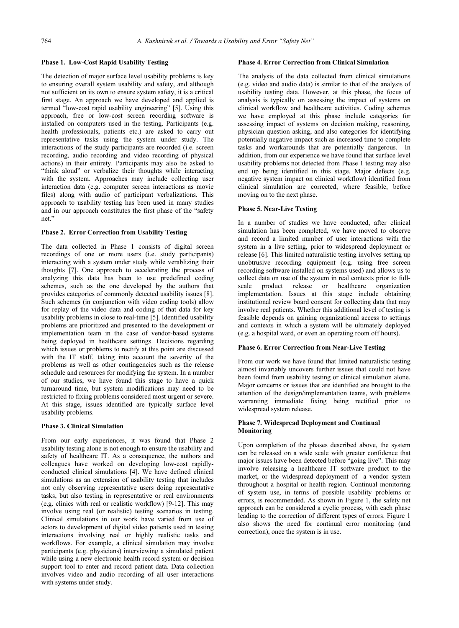#### Phase 1. Low-Cost Rapid Usability Testing

The detection of major surface level usability problems is key to ensuring overall system usability and safety, and although not sufficient on its own to ensure system safety, it is a critical first stage. An approach we have developed and applied is termed "low-cost rapid usability engineering" [5]. Using this approach, free or low-cost screen recording software is installed on computers used in the testing. Participants (e.g. health professionals, patients etc.) are asked to carry out representative tasks using the system under study. The interactions of the study participants are recorded (i.e. screen recording, audio recording and video recording of physical actions) in their entirety. Participants may also be asked to "think aloud" or verbalize their thoughts while interacting with the system. Approaches may include collecting user interaction data (e.g. computer screen interactions as movie files) along with audio of participant verbalizations. This approach to usability testing has been used in many studies and in our approach constitutes the first phase of the "safety net."

#### Phase 2. Error Correction from Usability Testing

The data collected in Phase 1 consists of digital screen recordings of one or more users (i.e. study participants) interacting with a system under study while verablizing their thoughts [7]. One approach to accelerating the process of analyzing this data has been to use predefined coding schemes, such as the one developed by the authors that provides categories of commonly detected usability issues [8]. Such schemes (in conjunction with video coding tools) allow for replay of the video data and coding of that data for key usability problems in close to real-time [5]. Identified usability problems are prioritized and presented to the development or implementation team in the case of vendor-based systems being deployed in healthcare settings. Decisions regarding which issues or problems to rectify at this point are discussed with the IT staff, taking into account the severity of the problems as well as other contingencies such as the release schedule and resources for modifying the system. In a number of our studies, we have found this stage to have a quick turnaround time, but system modifications may need to be restricted to fixing problems considered most urgent or severe. At this stage, issues identified are typically surface level usability problems.

#### Phase 3. Clinical Simulation

From our early experiences, it was found that Phase 2 usability testing alone is not enough to ensure the usability and safety of healthcare IT. As a consequence, the authors and colleagues have worked on developing low-cost rapidlyconducted clinical simulations [4]. We have defined clinical simulations as an extension of usability testing that includes not only observing representative users doing representative tasks, but also testing in representative or real environments (e.g. clinics with real or realistic workflow) [9-12]. This may involve using real (or realistic) testing scenarios in testing. Clinical simulations in our work have varied from use of actors to development of digital video patients used in testing interactions involving real or highly realistic tasks and workflows. For example, a clinical simulation may involve participants (e.g. physicians) interviewing a simulated patient while using a new electronic health record system or decision support tool to enter and record patient data. Data collection involves video and audio recording of all user interactions with systems under study.

#### Phase 4. Error Correction from Clinical Simulation

The analysis of the data collected from clinical simulations (e.g. video and audio data) is similar to that of the analysis of usability testing data. However, at this phase, the focus of analysis is typically on assessing the impact of systems on clinical workflow and healthcare activities. Coding schemes we have employed at this phase include categories for assessing impact of systems on decision making, reasoning, physician question asking, and also categories for identifying potentially negative impact such as increased time to complete tasks and workarounds that are potentially dangerous. In addition, from our experience we have found that surface level usability problems not detected from Phase 1 testing may also end up being identified in this stage. Major defects (e.g. negative system impact on clinical workflow) identified from clinical simulation are corrected, where feasible, before moving on to the next phase.

#### Phase 5. Near-Live Testing

In a number of studies we have conducted, after clinical simulation has been completed, we have moved to observe and record a limited number of user interactions with the system in a live setting, prior to widespread deployment or release [6]. This limited naturalistic testing involves setting up unobtrusive recording equipment (e.g. using free screen recording software installed on systems used) and allows us to collect data on use of the system in real contexts prior to full-<br>scale product release or healthcare organization product release or healthcare organization implementation. Issues at this stage include obtaining institutional review board consent for collecting data that may involve real patients. Whether this additional level of testing is feasible depends on gaining organizational access to settings and contexts in which a system will be ultimately deployed (e.g. a hospital ward, or even an operating room off hours).

#### Phase 6. Error Correction from Near-Live Testing

From our work we have found that limited naturalistic testing almost invariably uncovers further issues that could not have been found from usability testing or clinical simulation alone. Major concerns or issues that are identified are brought to the attention of the design/implementation teams, with problems warranting immediate fixing being rectified prior to widespread system release.

#### Phase 7. Widespread Deployment and Continual Monitoring

Upon completion of the phases described above, the system can be released on a wide scale with greater confidence that major issues have been detected before "going live". This may involve releasing a healthcare IT software product to the market, or the widespread deployment of a vendor system throughout a hospital or health region. Continual monitoring of system use, in terms of possible usability problems or errors, is recommended. As shown in Figure 1, the safety net approach can be considered a cyclic process, with each phase leading to the correction of different types of errors. Figure 1 also shows the need for continual error monitoring (and correction), once the system is in use.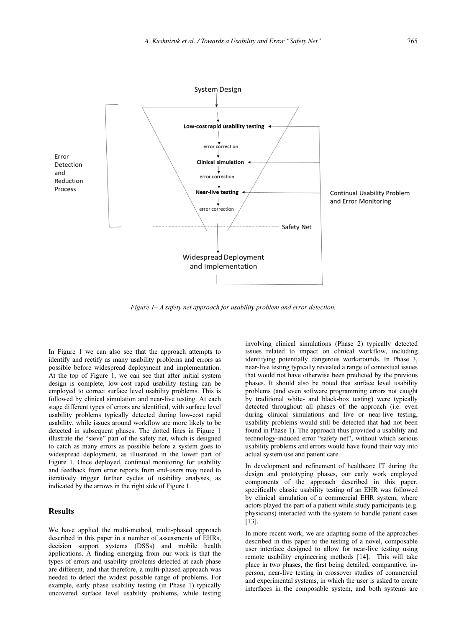

Figure 1– A safety net approach for usability problem and error detection.

In Figure 1 we can also see that the approach attempts to identify and rectify as many usability problems and errors as possible before widespread deployment and implementation. At the top of Figure 1, we can see that after initial system design is complete, low-cost rapid usability testing can be employed to correct surface level usability problems. This is followed by clinical simulation and near-live testing. At each stage different types of errors are identified, with surface level usability problems typically detected during low-cost rapid usability, while issues around workflow are more likely to be detected in subsequent phases. The dotted lines in Figure 1 illustrate the "sieve" part of the safety net, which is designed to catch as many errors as possible before a system goes to widespread deployment, as illustrated in the lower part of Figure 1. Once deployed, continual monitoring for usability and feedback from error reports from end-users may need to iteratively trigger further cycles of usability analyses, as indicated by the arrows in the right side of Figure 1.

## Results

We have applied the multi-method, multi-phased approach described in this paper in a number of assessments of EHRs, decision support systems (DSSs) and mobile health applications. A finding emerging from our work is that the types of errors and usability problems detected at each phase are different, and that therefore, a multi-phased approach was needed to detect the widest possible range of problems. For example, early phase usability testing (in Phase 1) typically uncovered surface level usability problems, while testing

involving clinical simulations (Phase 2) typically detected issues related to impact on clinical workflow, including identifying potentially dangerous workarounds. In Phase 3, near-live testing typically revealed a range of contextual issues that would not have otherwise been predicted by the previous phases. It should also be noted that surface level usability problems (and even software programming errors not caught by traditional white- and black-box testing) were typically detected throughout all phases of the approach (i.e. even during clinical simulations and live or near-live testing, usability problems would still be detected that had not been found in Phase 1). The approach thus provided a usability and technology-induced error "safety net", without which serious usability problems and errors would have found their way into actual system use and patient care.

In development and refinement of healthcare IT during the design and prototyping phases, our early work employed components of the approach described in this paper, specifically classic usability testing of an EHR was followed by clinical simulation of a commercial EHR system, where actors played the part of a patient while study participants (e.g. physicians) interacted with the system to handle patient cases [13].

In more recent work, we are adapting some of the approaches described in this paper to the testing of a novel, composable user interface designed to allow for near-live testing using remote usability engineering methods [14]. This will take place in two phases, the first being detailed, comparative, inperson, near-live testing in crossover studies of commercial and experimental systems, in which the user is asked to create interfaces in the composable system, and both systems are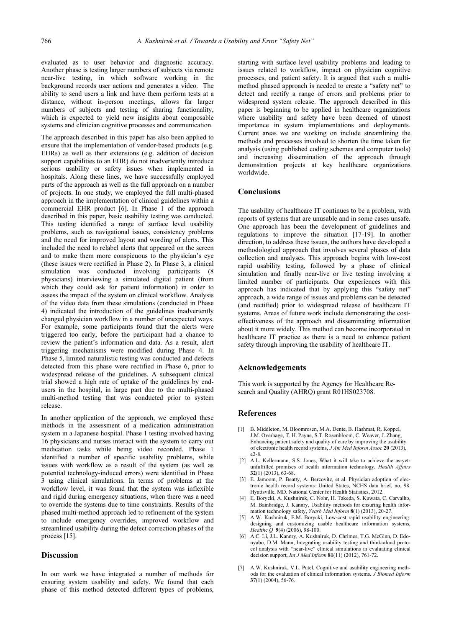evaluated as to user behavior and diagnostic accuracy. Another phase is testing larger numbers of subjects via remote near-live testing, in which software working in the background records user actions and generates a video. The ability to send users a link and have them perform tests at a distance, without in-person meetings, allows far larger numbers of subjects and testing of sharing functionality, which is expected to yield new insights about composable systems and clinician cognitive processes and communication.

The approach described in this paper has also been applied to ensure that the implementation of vendor-based products (e.g. EHRs) as well as their extensions (e.g. addition of decision support capabilities to an EHR) do not inadvertently introduce serious usability or safety issues when implemented in hospitals. Along these lines, we have successfully employed parts of the approach as well as the full approach on a number of projects. In one study, we employed the full multi-phased approach in the implementation of clinical guidelines within a commercial EHR product [6]. In Phase 1 of the approach described in this paper, basic usability testing was conducted. This testing identified a range of surface level usability problems, such as navigational issues, consistency problems and the need for improved layout and wording of alerts. This included the need to relabel alerts that appeared on the screen and to make them more conspicuous to the physician's eye (these issues were rectified in Phase 2). In Phase 3, a clinical simulation was conducted involving participants (8 physicians) interviewing a simulated digital patient (from which they could ask for patient information) in order to assess the impact of the system on clinical workflow. Analysis of the video data from these simulations (conducted in Phase 4) indicated the introduction of the guidelines inadvertently changed physician workflow in a number of unexpected ways. For example, some participants found that the alerts were triggered too early, before the participant had a chance to review the patient's information and data. As a result, alert triggering mechanisms were modified during Phase 4. In Phase 5, limited naturalistic testing was conducted and defects detected from this phase were rectified in Phase 6, prior to widespread release of the guidelines. A subsequent clinical trial showed a high rate of uptake of the guidelines by endusers in the hospital, in large part due to the multi-phased multi-method testing that was conducted prior to system release.

In another application of the approach, we employed these methods in the assessment of a medication administration system in a Japanese hospital. Phase 1 testing involved having 16 physicians and nurses interact with the system to carry out medication tasks while being video recorded. Phase 1 identified a number of specific usability problems, while issues with workflow as a result of the system (as well as potential technology-induced errors) were identified in Phase 3 using clinical simulations. In terms of problems at the workflow level, it was found that the system was inflexible and rigid during emergency situations, when there was a need to override the systems due to time constraints. Results of the phased multi-method approach led to refinement of the system to include emergency overrides, improved workflow and streamlined usability during the defect correction phases of the process [15].

### **Discussion**

In our work we have integrated a number of methods for ensuring system usability and safety. We found that each phase of this method detected different types of problems,

starting with surface level usability problems and leading to issues related to workflow, impact on physician cognitive processes, and patient safety. It is argued that such a multimethod phased approach is needed to create a "safety net" to detect and rectify a range of errors and problems prior to widespread system release. The approach described in this paper is beginning to be applied in healthcare organizations where usability and safety have been deemed of utmost importance in system implementations and deployments. Current areas we are working on include streamlining the methods and processes involved to shorten the time taken for analysis (using published coding schemes and computer tools) and increasing dissemination of the approach through demonstration projects at key healthcare organizations worldwide.

### Conclusions

The usability of healthcare IT continues to be a problem, with reports of systems that are unusable and in some cases unsafe. One approach has been the development of guidelines and regulations to improve the situation [17-19]. In another direction, to address these issues, the authors have developed a methodological approach that involves several phases of data collection and analyses. This approach begins with low-cost rapid usability testing, followed by a phase of clinical simulation and finally near-live or live testing involving a limited number of participants. Our experiences with this approach has indicated that by applying this "safety net" approach, a wide range of issues and problems can be detected (and rectified) prior to widespread release of healthcare IT systems. Areas of future work include demonstrating the costeffectiveness of the approach and disseminating information about it more widely. This method can become incorporated in healthcare IT practice as there is a need to enhance patient safety through improving the usability of healthcare IT.

#### Acknowledgements

This work is supported by the Agency for Healthcare Research and Quality (AHRQ) grant R01HS023708.

#### References

- [1] B. Middleton, M. Bloomrosen, M.A. Dente, B. Hashmat, R. Koppel, J.M. Overhage, T. H. Payne, S.T. Rosenbloom, C. Weaver, J. Zhang, Enhancing patient safety and quality of care by improving the usability of electronic health record systems, J Am Med Inform Assoc 20 (2013), e2-8.
- [2] A.L. Kellermann, S.S. Jones, What it will take to achieve the as-yetunfulfilled promises of health information technology, Health Affairs 32(1) (2013), 63-68.
- [3] E. Jamoom, P. Beatty, A. Bercovitz, et al. Physician adoption of electronic health record systems: United States, NCHS data brief, no. 98. Hyattsville, MD. National Center for Health Statistics, 2012.
- [4] E. Borycki, A. Kushniruk, C. Nohr, H. Takeda, S. Kuwata, C. Carvalho, M. Bainbridge, J. Kannry, Usability methods for ensuring health information technology safety, Yearb Med Inform 8(1) (2013), 20-27.
- [5] A.W. Kushniruk, E.M. Borycki, Low-cost rapid usability engineering: designing and customizing usable healthcare information systems, *Healthc Q* 9(4) (2006), 98-100.
- [6] A.C. Li, J.L. Kannry, A. Kushniruk, D. Chrimes, T.G. McGinn, D. Edonyabo, D.M. Mann, Integrating usability testing and think-aloud protocol analysis with "near-live" clinical simulations in evaluating clinical decision support, *Int J Med Inform*  $81(11)$  (2012), 761-72.
- [7] A.W. Kushniruk, V.L. Patel, Cognitive and usability engineering methods for the evaluation of clinical information systems. J Biomed Inform 37(1) (2004), 56-76.